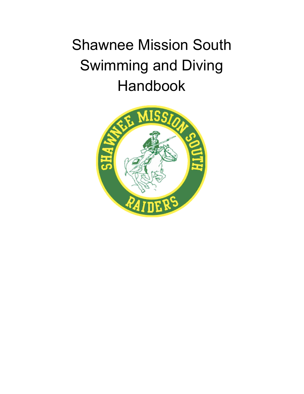# Shawnee Mission South Swimming and Diving Handbook

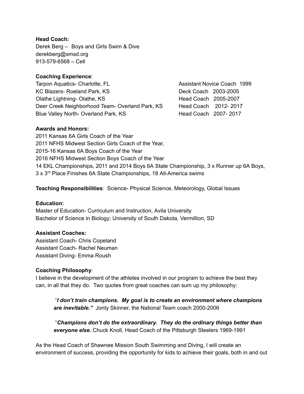## **Head Coach:**

Derek Berg – Boys and Girls Swim & Dive derekberg@smsd.org 913-579-6568 – Cell

#### **Coaching Experience**:

Tarpon Aquatics- Charlotte, FL **Assistant Novice Coach 1999** KC Blazers- Roeland Park, KS Deck Coach 2003-2005 Olathe Lightning- Olathe, KS Head Coach 2005-2007 Deer Creek Neighborhood Team- Overland Park, KS Head Coach 2012-2017 Blue Valley North- Overland Park, KS Head Coach 2007-2017

#### **Awards and Honors:**

 Kansas 6A Girls Coach of the Year NFHS Midwest Section Girls Coach of the Year, 2015-16 Kansas 6A Boys Coach of the Year NFHS Midwest Section Boys Coach of the Year EKL Championships, 2011 and 2014 Boys 6A State Championship, 3 x Runner up 6A Boys, 3 x 3<sup>rd</sup> Place Finishes 6A State Championships, 18 All-America swims

**Teaching Responsibilities**: Science- Physical Science, Meteorology, Global Issues

#### **Education:**

Master of Education- Curriculum and Instruction, Avila University Bachelor of Science in Biology; University of South Dakota, Vermillion, SD

#### **Assistant Coaches:**

Assistant Coach- Chris Copeland Assistant Diving- Emma Roush Assistant Coach- Rachel Neuman

#### **Coaching Philosophy**:

I believe in the development of the athletes involved in our program to achieve the best they can, in all that they do. Two quotes from great coaches can sum up my philosophy:

"*I don't train champions. My goal is to create an environment where champions are inevitable."* Jonty Skinner, the National Team coach 2000-2006

"*Champions don't do the extraordinary. They do the ordinary things better than everyone else.* Chuck Knoll, Head Coach of the Pittsburgh Steelers 1969-1991

As the Head Coach of Shawnee Mission South Swimming and Diving, I will create an environment of success, providing the opportunity for kids to achieve their goals, both in and out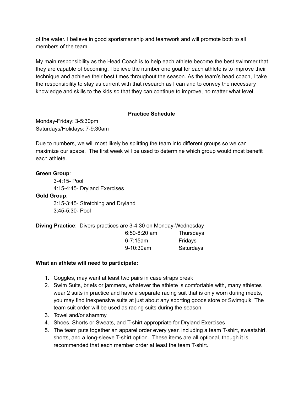of the water. I believe in good sportsmanship and teamwork and will promote both to all members of the team.

My main responsibility as the Head Coach is to help each athlete become the best swimmer that they are capable of becoming. I believe the number one goal for each athlete is to improve their technique and achieve their best times throughout the season. As the team's head coach, I take the responsibility to stay as current with that research as I can and to convey the necessary knowledge and skills to the kids so that they can continue to improve, no matter what level.

# **Practice Schedule**

Monday-Friday: 3-5:30pm Saturdays/Holidays: 7-9:30am

Due to numbers, we will most likely be splitting the team into different groups so we can maximize our space. The first week will be used to determine which group would most benefit each athlete.

## **Green Group**:

3-4:15- Pool 4:15-4:45- Dryland Exercises

**Gold Group**:

3:15-3:45- Stretching and Dryland 3:45-5:30- Pool

**Diving Practice**: Divers practices are 3-4:30 on Monday-Wednesday 6:50-8:20 am Thursdays 6-7:15am Fridays 9-10:30am Saturdays

# **What an athlete will need to participate:**

- 1. Goggles, may want at least two pairs in case straps break
- 2. Swim Suits, briefs or jammers, whatever the athlete is comfortable with, many athletes wear 2 suits in practice and have a separate racing suit that is only worn during meets, you may find inexpensive suits at just about any sporting goods store or Swimquik. The team suit order will be used as racing suits during the season.
- 3. Towel and/or shammy
- 4. Shoes, Shorts or Sweats, and T-shirt appropriate for Dryland Exercises
- 5. The team puts together an apparel order every year, including a team T-shirt, sweatshirt, shorts, and a long-sleeve T-shirt option. These items are all optional, though it is recommended that each member order at least the team T-shirt.